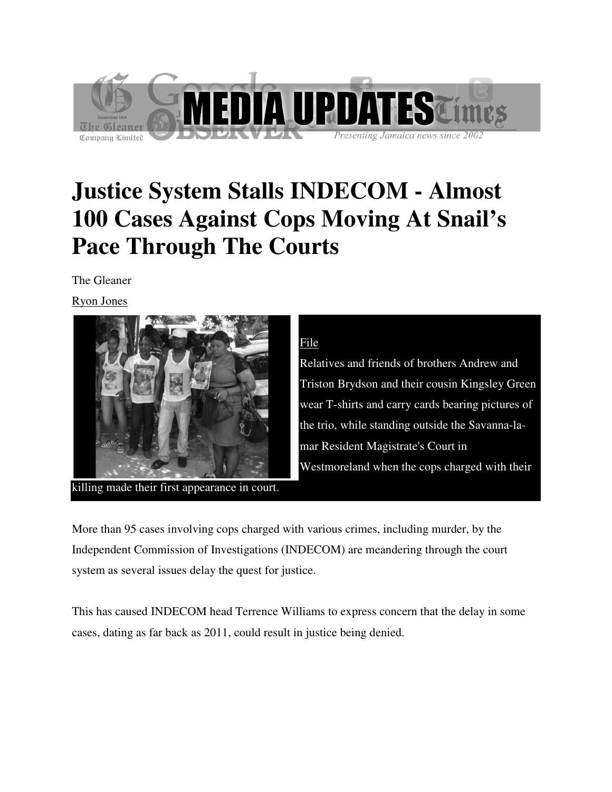

# **Justice System Stalls INDECOM - Almost 100 Cases Against Cops Moving At Snail's Pace Through The Courts**

The Gleaner

Ryon Jones



killing made their first appearance in court.

### File

Relatives and friends of brothers Andrew and Triston Brydson and their cousin Kingsley Green wear T-shirts and carry cards bearing pictures of the trio, while standing outside the Savanna mar Resident Magistrate's Court in Westmoreland when the cops charged with their<br>
h various crimes, including murder, by the

More than 95 cases involving cops charged with various crimes, including murder, Independent Commission of Investigations (INDECOM) are meandering through the court system as several issues delay the quest for justice. wear T-shirts and carry cards bearing pictures of the trio, while standing outside the Savanna-la-<br>mar Resident Magistrate's Court in<br>Westmoreland when the cops charged with their<br>first appearance in court.<br>ses involving c

This has caused INDECOM head Terrence Williams to express concern that the delay in some cases, dating as far back as 2011, could result in justice being denied.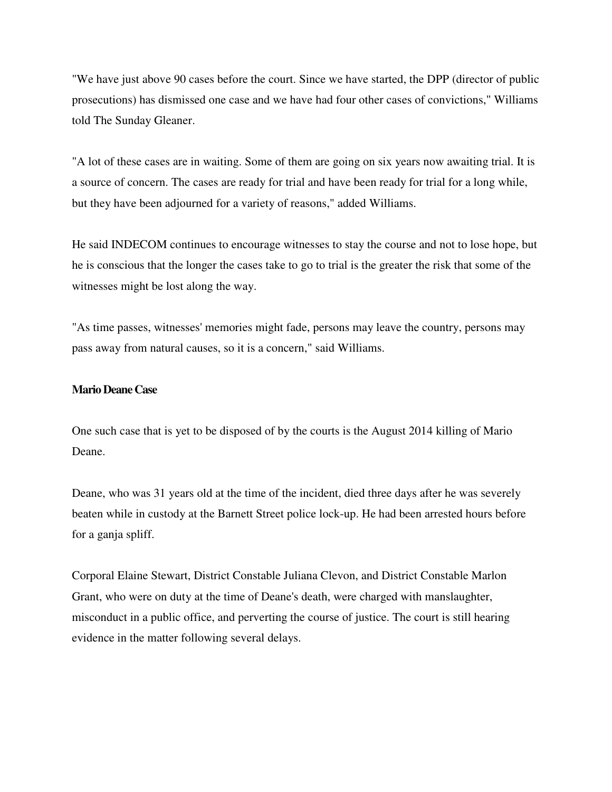"We have just above 90 cases before the court. Since we have started, the DPP (director of public prosecutions) has dismissed one case and we have had four other cases of convictions," Williams told The Sunday Gleaner.

"A lot of these cases are in waiting. Some of them are going on six years now awaiting trial. It is a source of concern. The cases are ready for trial and have been ready for trial for a long while, but they have been adjourned for a variety of reasons," added Williams.

He said INDECOM continues to encourage witnesses to stay the course and not to lose hope, but he is conscious that the longer the cases take to go to trial is the greater the risk that some of the witnesses might be lost along the way.

"As time passes, witnesses' memories might fade, persons may leave the country, persons may pass away from natural causes, so it is a concern," said Williams.

#### **Mario Deane Case**

One such case that is yet to be disposed of by the courts is the August 2014 killing of Mario Deane.

Deane, who was 31 years old at the time of the incident, died three days after he was severely beaten while in custody at the Barnett Street police lock-up. He had been arrested hours before for a ganja spliff.

Corporal Elaine Stewart, District Constable Juliana Clevon, and District Constable Marlon Grant, who were on duty at the time of Deane's death, were charged with manslaughter, misconduct in a public office, and perverting the course of justice. The court is still hearing evidence in the matter following several delays.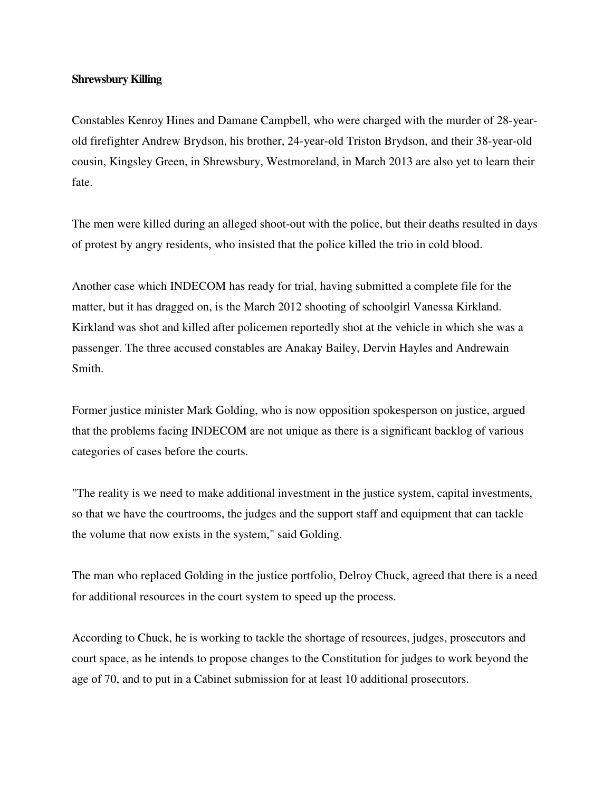#### **Shrewsbury Killing**

Constables Kenroy Hines and Damane Campbell, who were charged with the murder of 28-yearold firefighter Andrew Brydson, his brother, 24-year-old Triston Brydson, and their 38-year-old cousin, Kingsley Green, in Shrewsbury, Westmoreland, in March 2013 are also yet to learn their fate.

The men were killed during an alleged shoot-out with the police, but their deaths resulted in days of protest by angry residents, who insisted that the police killed the trio in cold blood.

Another case which INDECOM has ready for trial, having submitted a complete file for the matter, but it has dragged on, is the March 2012 shooting of schoolgirl Vanessa Kirkland. Kirkland was shot and killed after policemen reportedly shot at the vehicle in which she was a passenger. The three accused constables are Anakay Bailey, Dervin Hayles and Andrewain Smith.

Former justice minister Mark Golding, who is now opposition spokesperson on justice, argued that the problems facing INDECOM are not unique as there is a significant backlog of various categories of cases before the courts.

"The reality is we need to make additional investment in the justice system, capital investments, so that we have the courtrooms, the judges and the support staff and equipment that can tackle the volume that now exists in the system," said Golding.

The man who replaced Golding in the justice portfolio, Delroy Chuck, agreed that there is a need for additional resources in the court system to speed up the process.

According to Chuck, he is working to tackle the shortage of resources, judges, prosecutors and court space, as he intends to propose changes to the Constitution for judges to work beyond the age of 70, and to put in a Cabinet submission for at least 10 additional prosecutors.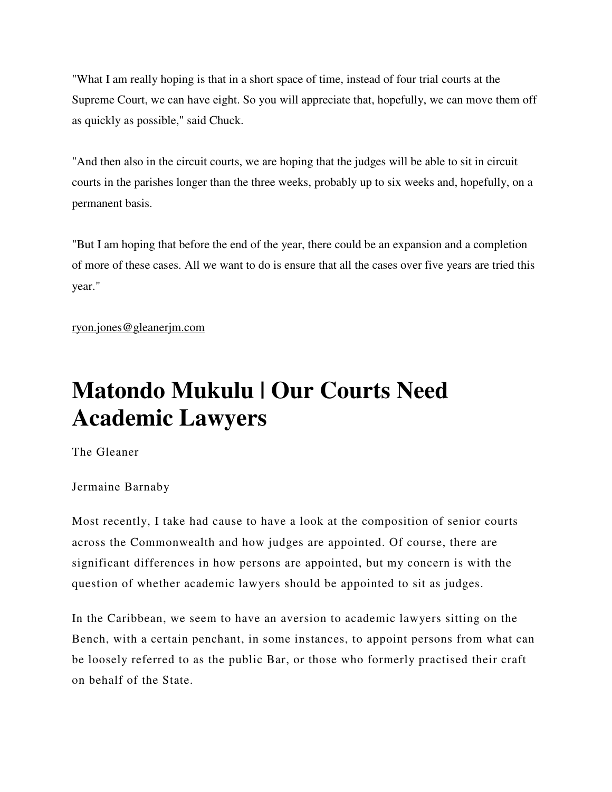"What I am really hoping is that in a short space of time, instead of four trial courts at the Supreme Court, we can have eight. So you will appreciate that, hopefully, we can move them off as quickly as possible," said Chuck.

"And then also in the circuit courts, we are hoping that the judges will be able to sit in circuit courts in the parishes longer than the three weeks, probably up to six weeks and, hopefully, on a permanent basis.

"But I am hoping that before the end of the year, there could be an expansion and a completion of more of these cases. All we want to do is ensure that all the cases over five years are tried this year."

ryon.jones@gleanerjm.com

## **Matondo Mukulu | Our Courts Need Academic Lawyers**

The Gleaner

Jermaine Barnaby

Most recently, I take had cause to have a look at the composition of senior courts across the Commonwealth and how judges are appointed. Of course, there are significant differences in how persons are appointed, but my concern is with the question of whether academic lawyers should be appointed to sit as judges.

In the Caribbean, we seem to have an aversion to academic lawyers sitting on the Bench, with a certain penchant, in some instances, to appoint persons from what can be loosely referred to as the public Bar, or those who formerly practised their craft on behalf of the State.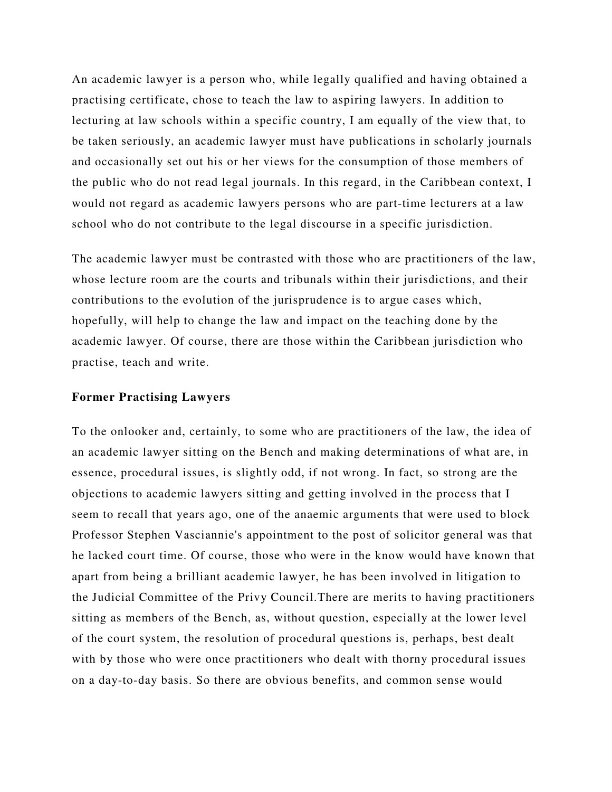An academic lawyer is a person who, while legally qualified and having obtained a practising certificate, chose to teach the law to aspiring lawyers. In addition to lecturing at law schools within a specific country, I am equally of the view that, to be taken seriously, an academic lawyer must have publications in scholarly journals and occasionally set out his or her views for the consumption of those members of the public who do not read legal journals. In this regard, in the Caribbean context, I would not regard as academic lawyers persons who are part-time lecturers at a law school who do not contribute to the legal discourse in a specific jurisdiction.

The academic lawyer must be contrasted with those who are practitioners of the law, whose lecture room are the courts and tribunals within their jurisdictions, and their contributions to the evolution of the jurisprudence is to argue cases which, hopefully, will help to change the law and impact on the teaching done by the academic lawyer. Of course, there are those within the Caribbean jurisdiction who practise, teach and write.

#### **Former Practising Lawyers**

To the onlooker and, certainly, to some who are practitioners of the law, the idea of an academic lawyer sitting on the Bench and making determinations of what are, in essence, procedural issues, is slightly odd, if not wrong. In fact, so strong are the objections to academic lawyers sitting and getting involved in the process that I seem to recall that years ago, one of the anaemic arguments that were used to block Professor Stephen Vasciannie's appointment to the post of solicitor general was that he lacked court time. Of course, those who were in the know would have known that apart from being a brilliant academic lawyer, he has been involved in litigation to the Judicial Committee of the Privy Council.There are merits to having practitioners sitting as members of the Bench, as, without question, especially at the lower level of the court system, the resolution of procedural questions is, perhaps, best dealt with by those who were once practitioners who dealt with thorny procedural issues on a day-to-day basis. So there are obvious benefits, and common sense would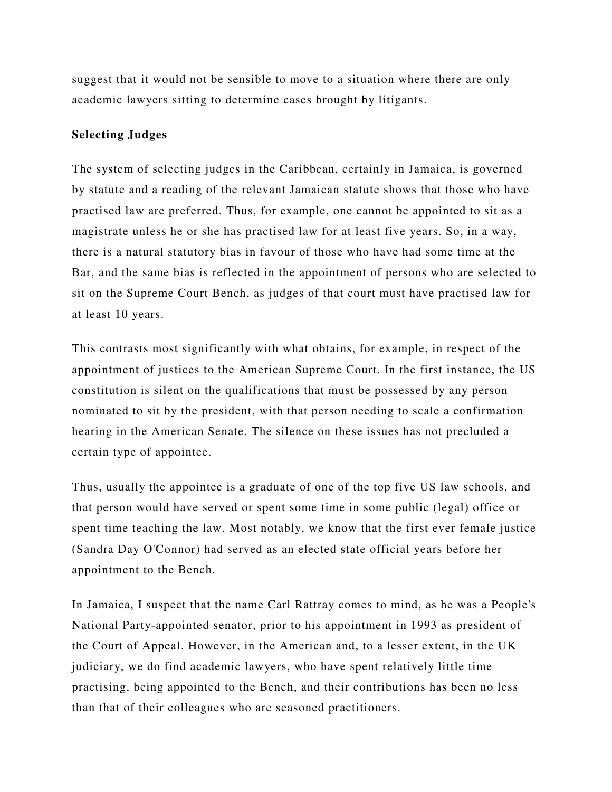suggest that it would not be sensible to move to a situation where there are only academic lawyers sitting to determine cases brought by litigants.

#### **Selecting Judges**

The system of selecting judges in the Caribbean, certainly in Jamaica, is governed by statute and a reading of the relevant Jamaican statute shows that those who have practised law are preferred. Thus, for example, one cannot be appointed to sit as a magistrate unless he or she has practised law for at least five years. So, in a way, there is a natural statutory bias in favour of those who have had some time at the Bar, and the same bias is reflected in the appointment of persons who are selected to sit on the Supreme Court Bench, as judges of that court must have practised law for at least 10 years.

This contrasts most significantly with what obtains, for example, in respect of the appointment of justices to the American Supreme Court. In the first instance, the US constitution is silent on the qualifications that must be possessed by any person nominated to sit by the president, with that person needing to scale a confirmation hearing in the American Senate. The silence on these issues has not precluded a certain type of appointee.

Thus, usually the appointee is a graduate of one of the top five US law schools, and that person would have served or spent some time in some public (legal) office or spent time teaching the law. Most notably, we know that the first ever female justice (Sandra Day O'Connor) had served as an elected state official years before her appointment to the Bench.

In Jamaica, I suspect that the name Carl Rattray comes to mind, as he was a People's National Party-appointed senator, prior to his appointment in 1993 as president of the Court of Appeal. However, in the American and, to a lesser extent, in the UK judiciary, we do find academic lawyers, who have spent relatively little time practising, being appointed to the Bench, and their contributions has been no less than that of their colleagues who are seasoned practitioners.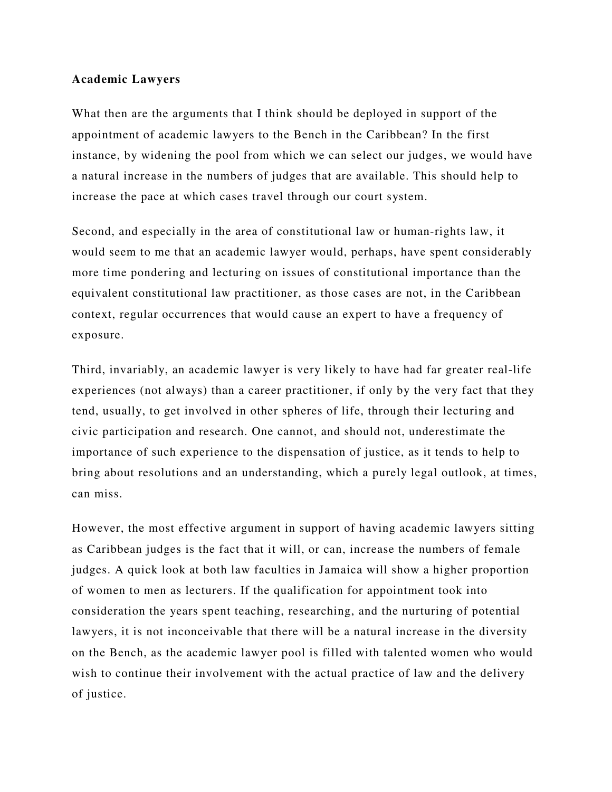#### **Academic Lawyers**

What then are the arguments that I think should be deployed in support of the appointment of academic lawyers to the Bench in the Caribbean? In the first instance, by widening the pool from which we can select our judges, we would have a natural increase in the numbers of judges that are available. This should help to increase the pace at which cases travel through our court system.

Second, and especially in the area of constitutional law or human-rights law, it would seem to me that an academic lawyer would, perhaps, have spent considerably more time pondering and lecturing on issues of constitutional importance than the equivalent constitutional law practitioner, as those cases are not, in the Caribbean context, regular occurrences that would cause an expert to have a frequency of exposure.

Third, invariably, an academic lawyer is very likely to have had far greater real-life experiences (not always) than a career practitioner, if only by the very fact that they tend, usually, to get involved in other spheres of life, through their lecturing and civic participation and research. One cannot, and should not, underestimate the importance of such experience to the dispensation of justice, as it tends to help to bring about resolutions and an understanding, which a purely legal outlook, at times, can miss.

However, the most effective argument in support of having academic lawyers sitting as Caribbean judges is the fact that it will, or can, increase the numbers of female judges. A quick look at both law faculties in Jamaica will show a higher proportion of women to men as lecturers. If the qualification for appointment took into consideration the years spent teaching, researching, and the nurturing of potential lawyers, it is not inconceivable that there will be a natural increase in the diversity on the Bench, as the academic lawyer pool is filled with talented women who would wish to continue their involvement with the actual practice of law and the delivery of justice.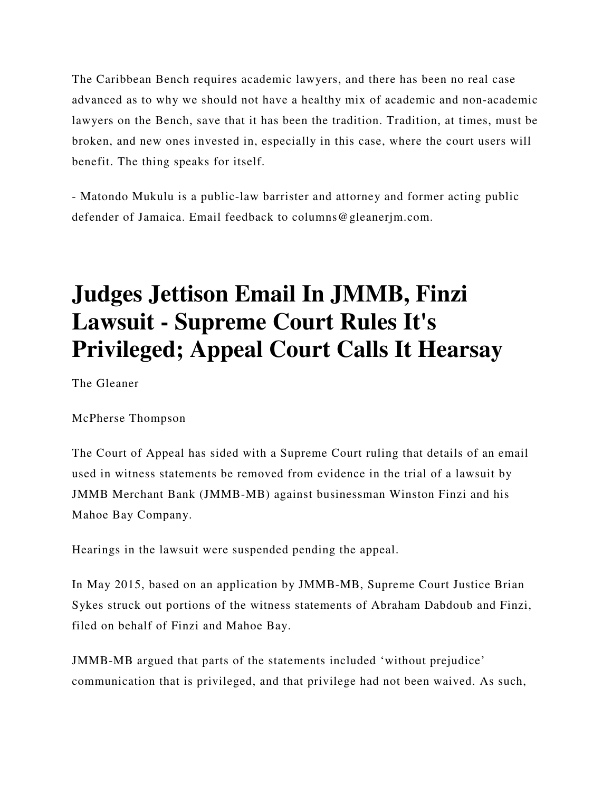The Caribbean Bench requires academic lawyers, and there has been no real case advanced as to why we should not have a healthy mix of academic and non-academic lawyers on the Bench, save that it has been the tradition. Tradition, at times, must be broken, and new ones invested in, especially in this case, where the court users will benefit. The thing speaks for itself.

- Matondo Mukulu is a public-law barrister and attorney and former acting public defender of Jamaica. Email feedback to columns@gleanerjm.com.

## **Judges Jettison Email In JMMB, Finzi Lawsuit - Supreme Court Rules It's Privileged; Appeal Court Calls It Hearsay**

The Gleaner

McPherse Thompson

The Court of Appeal has sided with a Supreme Court ruling that details of an email used in witness statements be removed from evidence in the trial of a lawsuit by JMMB Merchant Bank (JMMB-MB) against businessman Winston Finzi and his Mahoe Bay Company.

Hearings in the lawsuit were suspended pending the appeal.

In May 2015, based on an application by JMMB-MB, Supreme Court Justice Brian Sykes struck out portions of the witness statements of Abraham Dabdoub and Finzi, filed on behalf of Finzi and Mahoe Bay.

JMMB-MB argued that parts of the statements included 'without prejudice' communication that is privileged, and that privilege had not been waived. As such,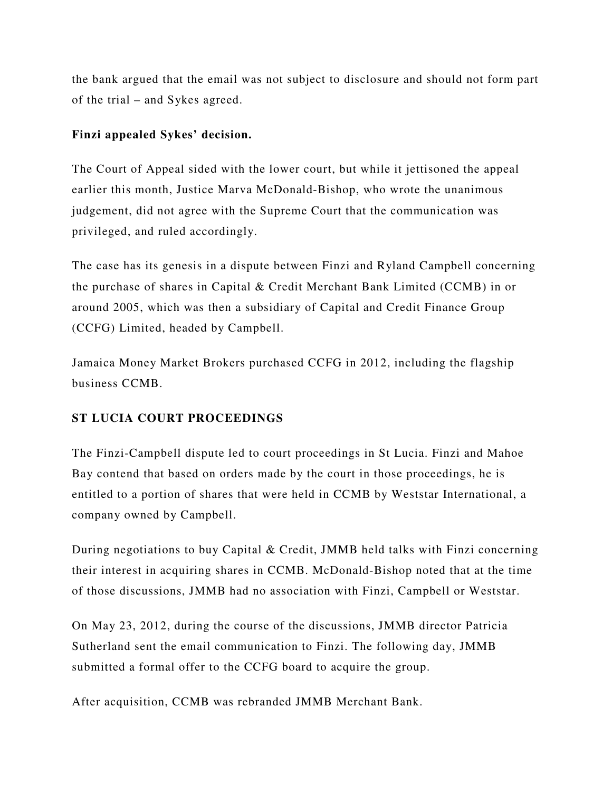the bank argued that the email was not subject to disclosure and should not form part of the trial – and Sykes agreed.

### **Finzi appealed Sykes' decision.**

The Court of Appeal sided with the lower court, but while it jettisoned the appeal earlier this month, Justice Marva McDonald-Bishop, who wrote the unanimous judgement, did not agree with the Supreme Court that the communication was privileged, and ruled accordingly.

The case has its genesis in a dispute between Finzi and Ryland Campbell concerning the purchase of shares in Capital & Credit Merchant Bank Limited (CCMB) in or around 2005, which was then a subsidiary of Capital and Credit Finance Group (CCFG) Limited, headed by Campbell.

Jamaica Money Market Brokers purchased CCFG in 2012, including the flagship business CCMB.

### **ST LUCIA COURT PROCEEDINGS**

The Finzi-Campbell dispute led to court proceedings in St Lucia. Finzi and Mahoe Bay contend that based on orders made by the court in those proceedings, he is entitled to a portion of shares that were held in CCMB by Weststar International, a company owned by Campbell.

During negotiations to buy Capital & Credit, JMMB held talks with Finzi concerning their interest in acquiring shares in CCMB. McDonald-Bishop noted that at the time of those discussions, JMMB had no association with Finzi, Campbell or Weststar.

On May 23, 2012, during the course of the discussions, JMMB director Patricia Sutherland sent the email communication to Finzi. The following day, JMMB submitted a formal offer to the CCFG board to acquire the group.

After acquisition, CCMB was rebranded JMMB Merchant Bank.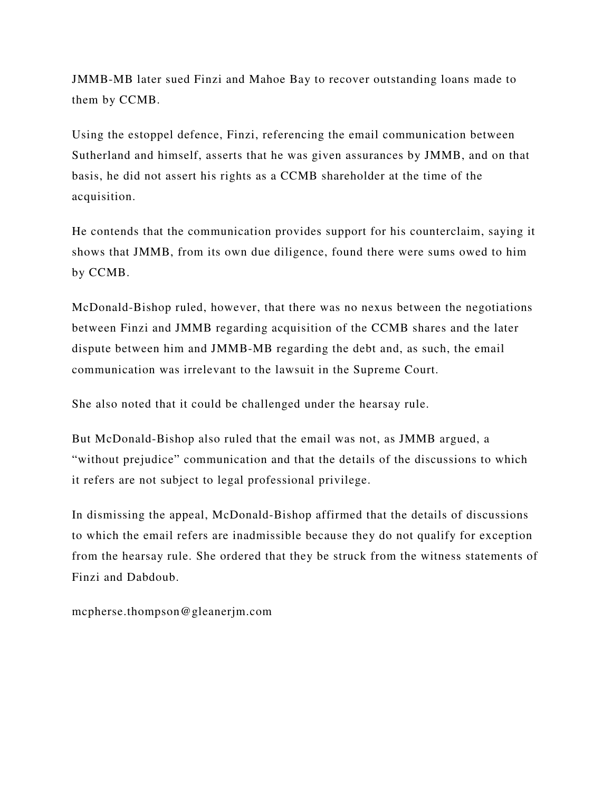JMMB-MB later sued Finzi and Mahoe Bay to recover outstanding loans made to them by CCMB.

Using the estoppel defence, Finzi, referencing the email communication between Sutherland and himself, asserts that he was given assurances by JMMB, and on that basis, he did not assert his rights as a CCMB shareholder at the time of the acquisition.

He contends that the communication provides support for his counterclaim, saying it shows that JMMB, from its own due diligence, found there were sums owed to him by CCMB.

McDonald-Bishop ruled, however, that there was no nexus between the negotiations between Finzi and JMMB regarding acquisition of the CCMB shares and the later dispute between him and JMMB-MB regarding the debt and, as such, the email communication was irrelevant to the lawsuit in the Supreme Court.

She also noted that it could be challenged under the hearsay rule.

But McDonald-Bishop also ruled that the email was not, as JMMB argued, a "without prejudice" communication and that the details of the discussions to which it refers are not subject to legal professional privilege.

In dismissing the appeal, McDonald-Bishop affirmed that the details of discussions to which the email refers are inadmissible because they do not qualify for exception from the hearsay rule. She ordered that they be struck from the witness statements of Finzi and Dabdoub.

mcpherse.thompson@gleanerjm.com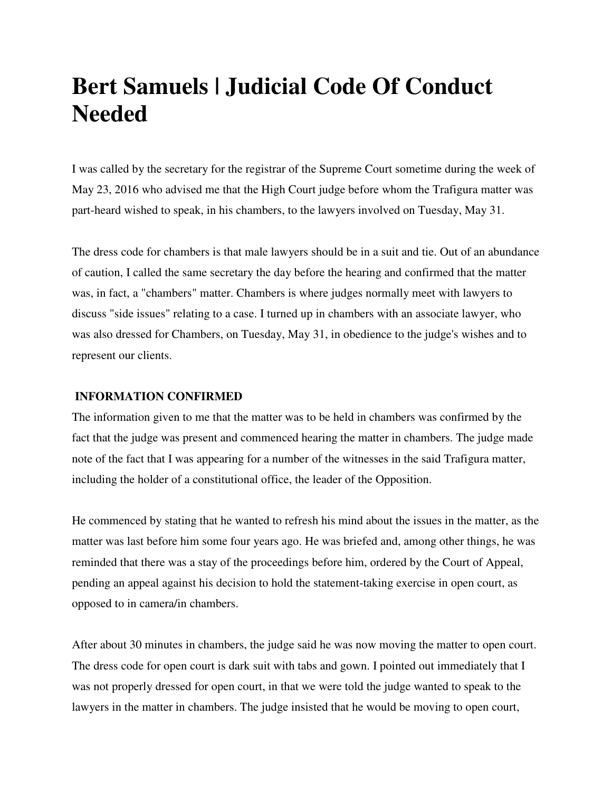### **Bert Samuels | Judicial Code Of Conduct Needed**

I was called by the secretary for the registrar of the Supreme Court sometime during the week of May 23, 2016 who advised me that the High Court judge before whom the Trafigura matter was part-heard wished to speak, in his chambers, to the lawyers involved on Tuesday, May 31.

The dress code for chambers is that male lawyers should be in a suit and tie. Out of an abundance of caution, I called the same secretary the day before the hearing and confirmed that the matter was, in fact, a "chambers" matter. Chambers is where judges normally meet with lawyers to discuss "side issues" relating to a case. I turned up in chambers with an associate lawyer, who was also dressed for Chambers, on Tuesday, May 31, in obedience to the judge's wishes and to represent our clients.

#### **INFORMATION CONFIRMED**

The information given to me that the matter was to be held in chambers was confirmed by the fact that the judge was present and commenced hearing the matter in chambers. The judge made note of the fact that I was appearing for a number of the witnesses in the said Trafigura matter, including the holder of a constitutional office, the leader of the Opposition.

He commenced by stating that he wanted to refresh his mind about the issues in the matter, as the matter was last before him some four years ago. He was briefed and, among other things, he was reminded that there was a stay of the proceedings before him, ordered by the Court of Appeal, pending an appeal against his decision to hold the statement-taking exercise in open court, as opposed to in camera/in chambers.

After about 30 minutes in chambers, the judge said he was now moving the matter to open court. The dress code for open court is dark suit with tabs and gown. I pointed out immediately that I was not properly dressed for open court, in that we were told the judge wanted to speak to the lawyers in the matter in chambers. The judge insisted that he would be moving to open court,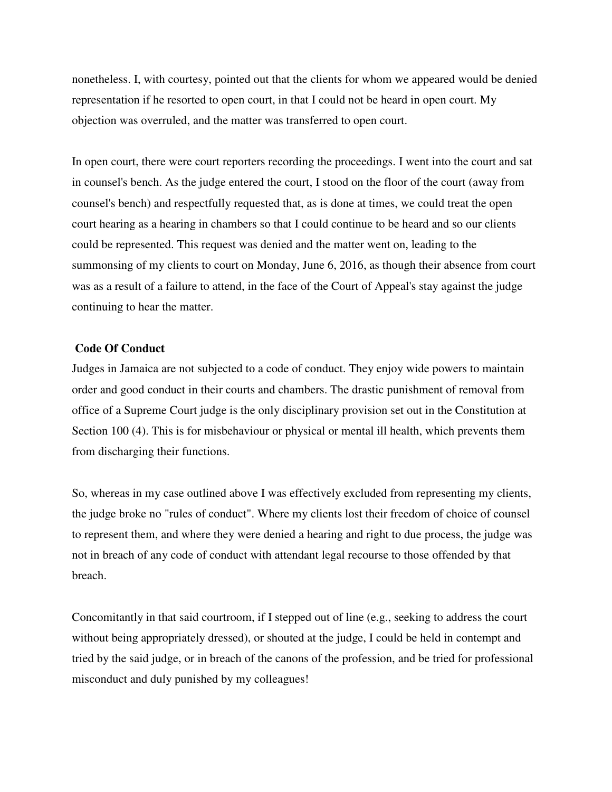nonetheless. I, with courtesy, pointed out that the clients for whom we appeared would be denied representation if he resorted to open court, in that I could not be heard in open court. My objection was overruled, and the matter was transferred to open court.

In open court, there were court reporters recording the proceedings. I went into the court and sat in counsel's bench. As the judge entered the court, I stood on the floor of the court (away from counsel's bench) and respectfully requested that, as is done at times, we could treat the open court hearing as a hearing in chambers so that I could continue to be heard and so our clients could be represented. This request was denied and the matter went on, leading to the summonsing of my clients to court on Monday, June 6, 2016, as though their absence from court was as a result of a failure to attend, in the face of the Court of Appeal's stay against the judge continuing to hear the matter.

#### **Code Of Conduct**

Judges in Jamaica are not subjected to a code of conduct. They enjoy wide powers to maintain order and good conduct in their courts and chambers. The drastic punishment of removal from office of a Supreme Court judge is the only disciplinary provision set out in the Constitution at Section 100 (4). This is for misbehaviour or physical or mental ill health, which prevents them from discharging their functions.

So, whereas in my case outlined above I was effectively excluded from representing my clients, the judge broke no "rules of conduct". Where my clients lost their freedom of choice of counsel to represent them, and where they were denied a hearing and right to due process, the judge was not in breach of any code of conduct with attendant legal recourse to those offended by that breach.

Concomitantly in that said courtroom, if I stepped out of line (e.g., seeking to address the court without being appropriately dressed), or shouted at the judge, I could be held in contempt and tried by the said judge, or in breach of the canons of the profession, and be tried for professional misconduct and duly punished by my colleagues!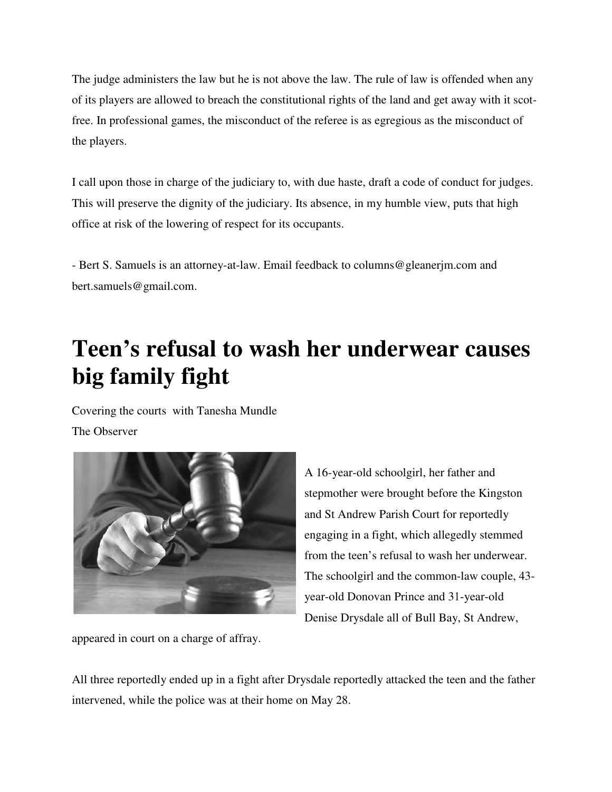The judge administers the law but he is not above the law. The rule of law is offended when any of its players are allowed to breach the constitutional rights of the land and get away with it scot free. In professional games, the misconduct of the referee is as egregious as the misconduct of the players.

I call upon those in charge of the judiciary to, with due haste, draft a code of conduct for judges. This will preserve the dignity of the judiciary. Its absence, in my humble view, puts that high office at risk of the lowering of respect for its occupan of its players are allowed to breach the constitutional rights of the land and get away with it scot-<br>free. In professional games, the misconduct of the referee is as egregious as the misconduct of<br>the players.<br>I call upon

- Bert S. Samuels is an attorney-at-law. Email feedback to columns@gleanerjm.com and bert.samuels@gmail.com.

## Teen's refusal to wash her underwear causes<br>big family fight **big family fight**

Covering the courts with Tanesha Mundle

The Observer



A 16-year-old schoolgirl, her father and stepmother were brought before the Kingston and St Andrew Parish Court for reportedly engaging in a fight, which allegedly stemmed from the teen's refusal to wash her underwear. from the teen's refusal to wash her underwear.<br>The schoolgirl and the common-law couple, 43year-old Donovan Prince and 31-year-old Denise Drysdale all of Bull Bay, St Andrew, the law but he is not above the law. The rule of law is offended when any<br>deto breach the constitutional rights of the land and get away with it scot-<br>mes, the misconduct of the referee is as egregious as the misconduct of law. Email feedback to columns@gleanerjm.com and<br> **Wash her underwear causes**<br>
Mundle<br>
A 16-year-old schoolgirl, her father and<br>
stepmother were brought before the Kingston<br>
and St Andrew Parish Court for reportedly<br>
engag

appeared in court on a charge of affray.

All three reportedly ended up in a fight after Drysdale reportedly attacked the teen and the father intervened, while the police was at their home on May 28.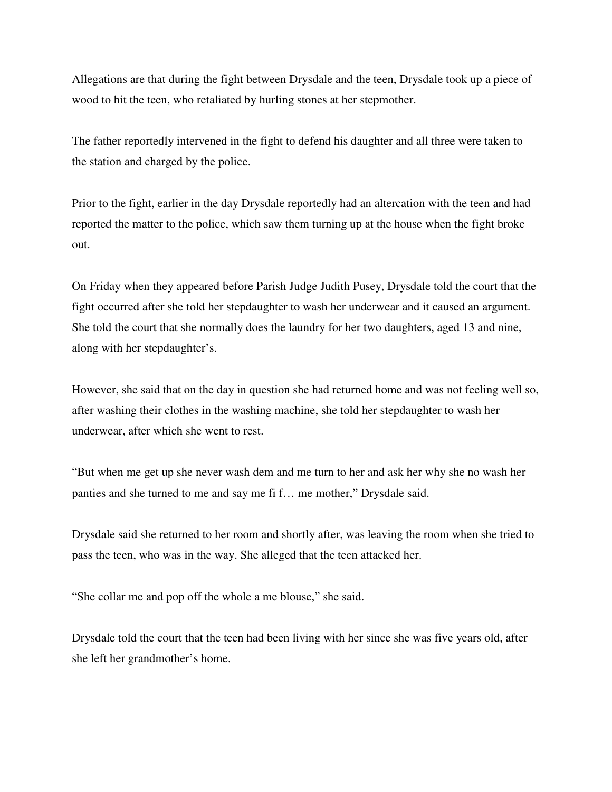Allegations are that during the fight between Drysdale and the teen, Drysdale took up a piece of wood to hit the teen, who retaliated by hurling stones at her stepmother.

The father reportedly intervened in the fight to defend his daughter and all three were taken to the station and charged by the police.

Prior to the fight, earlier in the day Drysdale reportedly had an altercation with the teen and had reported the matter to the police, which saw them turning up at the house when the fight broke out.

On Friday when they appeared before Parish Judge Judith Pusey, Drysdale told the court that the fight occurred after she told her stepdaughter to wash her underwear and it caused an argument. She told the court that she normally does the laundry for her two daughters, aged 13 and nine, along with her stepdaughter's.

However, she said that on the day in question she had returned home and was not feeling well so, after washing their clothes in the washing machine, she told her stepdaughter to wash her underwear, after which she went to rest.

"But when me get up she never wash dem and me turn to her and ask her why she no wash her panties and she turned to me and say me fi f… me mother," Drysdale said.

Drysdale said she returned to her room and shortly after, was leaving the room when she tried to pass the teen, who was in the way. She alleged that the teen attacked her.

"She collar me and pop off the whole a me blouse," she said.

Drysdale told the court that the teen had been living with her since she was five years old, after she left her grandmother's home.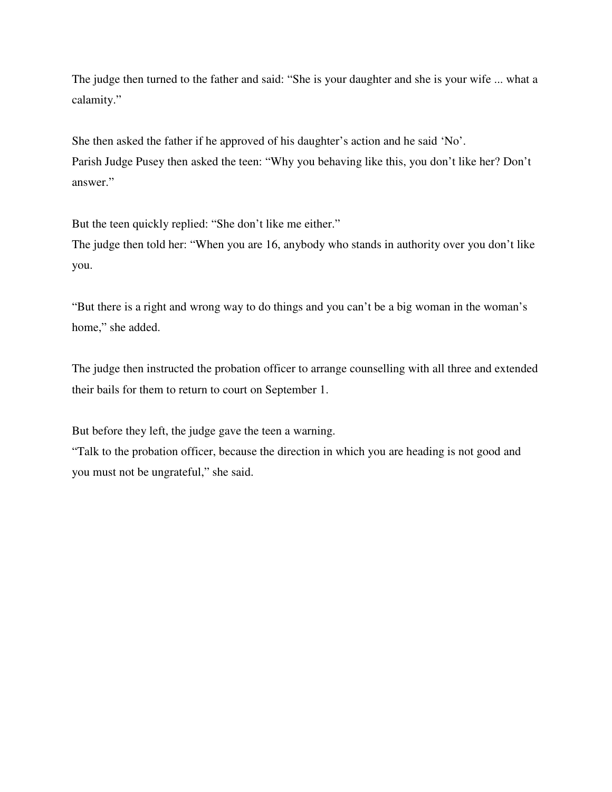The judge then turned to the father and said: "She is your daughter and she is your wife ... what a calamity."

She then asked the father if he approved of his daughter's action and he said 'No'. Parish Judge Pusey then asked the teen: "Why you behaving like this, you don't like her? Don't answer."

But the teen quickly replied: "She don't like me either."

The judge then told her: "When you are 16, anybody who stands in authority over you don't like you.

"But there is a right and wrong way to do things and you can't be a big woman in the woman's home," she added.

The judge then instructed the probation officer to arrange counselling with all three and extended their bails for them to return to court on September 1.

But before they left, the judge gave the teen a warning.

"Talk to the probation officer, because the direction in which you are heading is not good and you must not be ungrateful," she said.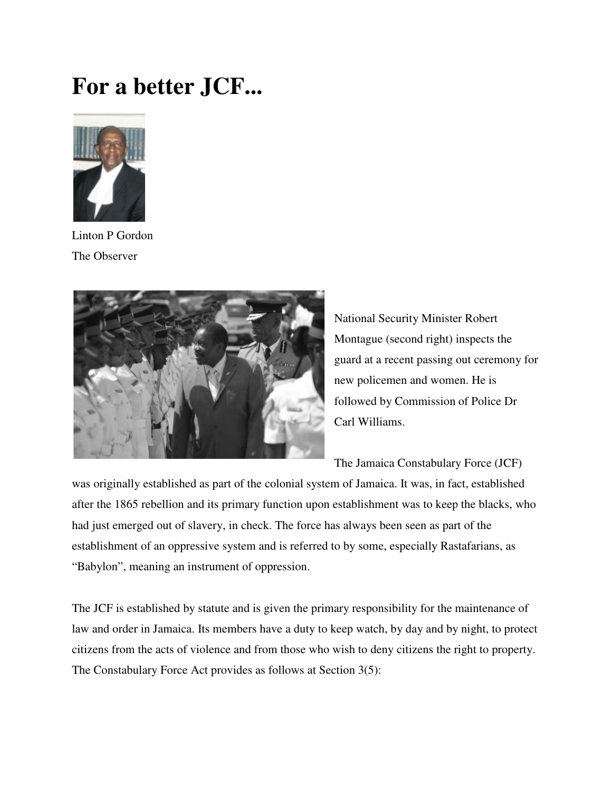## **For a better JCF...**



Linton P Gordon The Observer



National Security Minister Robert National Security Minister Robert<br>Montague (second right) inspects the guard at a recent passing out ceremony for new policemen and women. He is followed by Commission of Police Dr Carl Williams. guard at a recent passing out ceremony<br>new policemen and women. He is<br>followed by Commission of Police Dr<br>Carl Williams.<br>The Jamaica Constabulary Force (JCF)

The Jamaica Constabulary Force (JCF)

was originally established as part of the colonial system of Jamaica. It was, in fact, established was originally established as part of the colonial system of Jamaica. It was, in fact, established<br>after the 1865 rebellion and its primary function upon establishment was to keep the blacks, who had just emerged out of slavery, in check. The f force has always been seen as part of the establishment of an oppressive system and is referred to by some, especially Rastafarians, as "Babylon", meaning an instrument of oppression. establishment of an oppressive system and is referred to by some, especially Rastafarians, as<br>
"Babylon", meaning an instrument of oppression.<br>
The JCF is established by statute and is given the primary responsibility for orce has always been seen as part of<br>ferred to by some, especially Rastafa<br>n.<br>e primary responsibility for the main

law and order in Jamaica. Its members have a duty to keep watch, by day and by night, to protect citizens from the acts of violence and from those who wish to deny citizens the right to property.<br>The Constabulary Force Act citizens from the acts of violence and from those who wish to deny citizens the right to property. The Constabulary Force Act provides as follows at Section 3(5):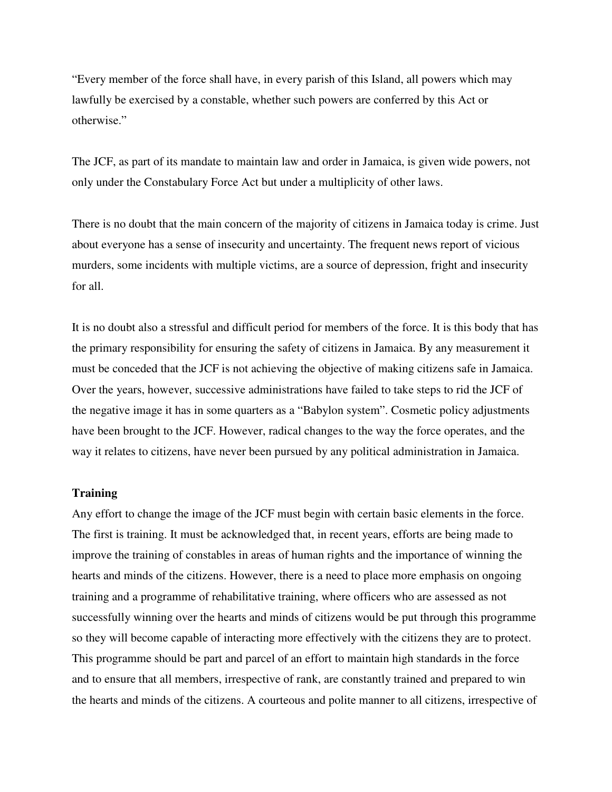"Every member of the force shall have, in every parish of this Island, all powers which may lawfully be exercised by a constable, whether such powers are conferred by this Act or otherwise."

The JCF, as part of its mandate to maintain law and order in Jamaica, is given wide powers, not only under the Constabulary Force Act but under a multiplicity of other laws.

There is no doubt that the main concern of the majority of citizens in Jamaica today is crime. Just about everyone has a sense of insecurity and uncertainty. The frequent news report of vicious murders, some incidents with multiple victims, are a source of depression, fright and insecurity for all.

It is no doubt also a stressful and difficult period for members of the force. It is this body that has the primary responsibility for ensuring the safety of citizens in Jamaica. By any measurement it must be conceded that the JCF is not achieving the objective of making citizens safe in Jamaica. Over the years, however, successive administrations have failed to take steps to rid the JCF of the negative image it has in some quarters as a "Babylon system". Cosmetic policy adjustments have been brought to the JCF. However, radical changes to the way the force operates, and the way it relates to citizens, have never been pursued by any political administration in Jamaica.

#### **Training**

Any effort to change the image of the JCF must begin with certain basic elements in the force. The first is training. It must be acknowledged that, in recent years, efforts are being made to improve the training of constables in areas of human rights and the importance of winning the hearts and minds of the citizens. However, there is a need to place more emphasis on ongoing training and a programme of rehabilitative training, where officers who are assessed as not successfully winning over the hearts and minds of citizens would be put through this programme so they will become capable of interacting more effectively with the citizens they are to protect. This programme should be part and parcel of an effort to maintain high standards in the force and to ensure that all members, irrespective of rank, are constantly trained and prepared to win the hearts and minds of the citizens. A courteous and polite manner to all citizens, irrespective of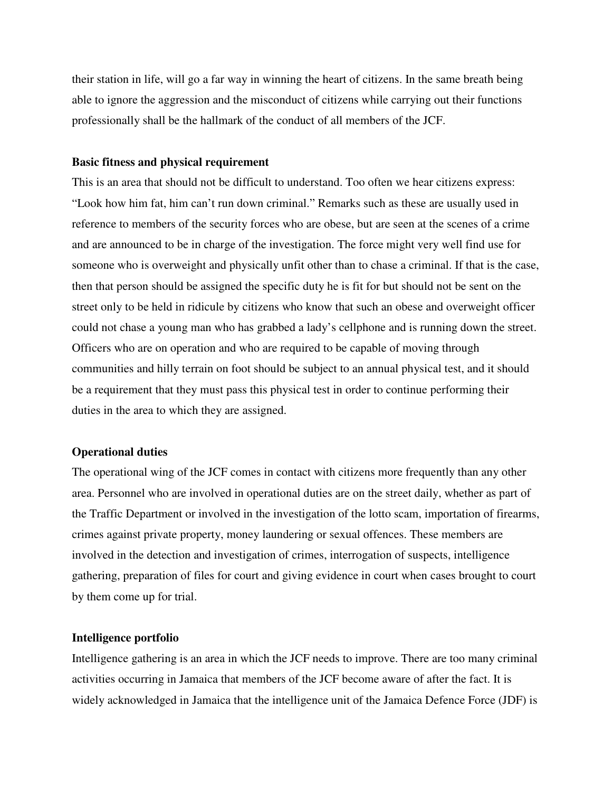their station in life, will go a far way in winning the heart of citizens. In the same breath being able to ignore the aggression and the misconduct of citizens while carrying out their functions professionally shall be the hallmark of the conduct of all members of the JCF.

#### **Basic fitness and physical requirement**

This is an area that should not be difficult to understand. Too often we hear citizens express: "Look how him fat, him can't run down criminal." Remarks such as these are usually used in reference to members of the security forces who are obese, but are seen at the scenes of a crime and are announced to be in charge of the investigation. The force might very well find use for someone who is overweight and physically unfit other than to chase a criminal. If that is the case, then that person should be assigned the specific duty he is fit for but should not be sent on the street only to be held in ridicule by citizens who know that such an obese and overweight officer could not chase a young man who has grabbed a lady's cellphone and is running down the street. Officers who are on operation and who are required to be capable of moving through communities and hilly terrain on foot should be subject to an annual physical test, and it should be a requirement that they must pass this physical test in order to continue performing their duties in the area to which they are assigned.

#### **Operational duties**

The operational wing of the JCF comes in contact with citizens more frequently than any other area. Personnel who are involved in operational duties are on the street daily, whether as part of the Traffic Department or involved in the investigation of the lotto scam, importation of firearms, crimes against private property, money laundering or sexual offences. These members are involved in the detection and investigation of crimes, interrogation of suspects, intelligence gathering, preparation of files for court and giving evidence in court when cases brought to court by them come up for trial.

#### **Intelligence portfolio**

Intelligence gathering is an area in which the JCF needs to improve. There are too many criminal activities occurring in Jamaica that members of the JCF become aware of after the fact. It is widely acknowledged in Jamaica that the intelligence unit of the Jamaica Defence Force (JDF) is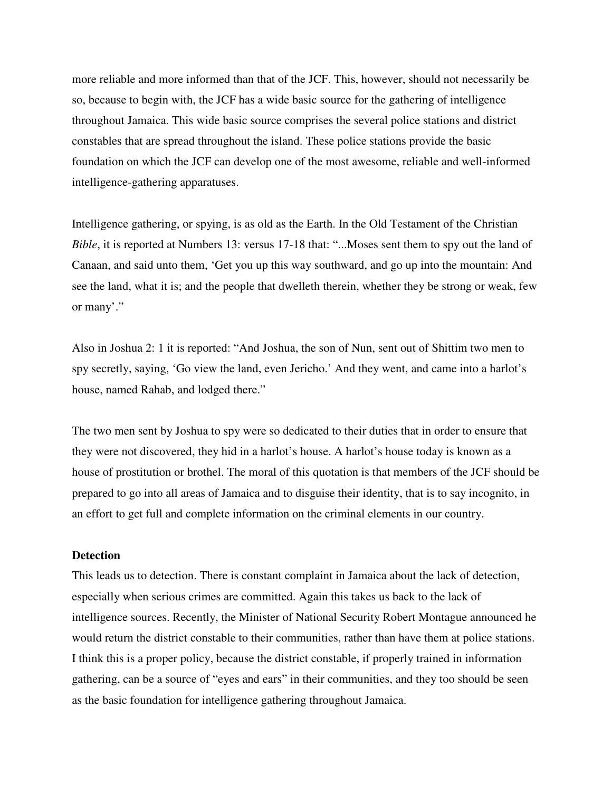more reliable and more informed than that of the JCF. This, however, should not necessarily be so, because to begin with, the JCF has a wide basic source for the gathering of intelligence throughout Jamaica. This wide basic source comprises the several police stations and district constables that are spread throughout the island. These police stations provide the basic foundation on which the JCF can develop one of the most awesome, reliable and well-informed intelligence-gathering apparatuses.

Intelligence gathering, or spying, is as old as the Earth. In the Old Testament of the Christian *Bible*, it is reported at Numbers 13: versus 17-18 that: "...Moses sent them to spy out the land of Canaan, and said unto them, 'Get you up this way southward, and go up into the mountain: And see the land, what it is; and the people that dwelleth therein, whether they be strong or weak, few or many'."

Also in Joshua 2: 1 it is reported: "And Joshua, the son of Nun, sent out of Shittim two men to spy secretly, saying, 'Go view the land, even Jericho.' And they went, and came into a harlot's house, named Rahab, and lodged there."

The two men sent by Joshua to spy were so dedicated to their duties that in order to ensure that they were not discovered, they hid in a harlot's house. A harlot's house today is known as a house of prostitution or brothel. The moral of this quotation is that members of the JCF should be prepared to go into all areas of Jamaica and to disguise their identity, that is to say incognito, in an effort to get full and complete information on the criminal elements in our country.

#### **Detection**

This leads us to detection. There is constant complaint in Jamaica about the lack of detection, especially when serious crimes are committed. Again this takes us back to the lack of intelligence sources. Recently, the Minister of National Security Robert Montague announced he would return the district constable to their communities, rather than have them at police stations. I think this is a proper policy, because the district constable, if properly trained in information gathering, can be a source of "eyes and ears" in their communities, and they too should be seen as the basic foundation for intelligence gathering throughout Jamaica.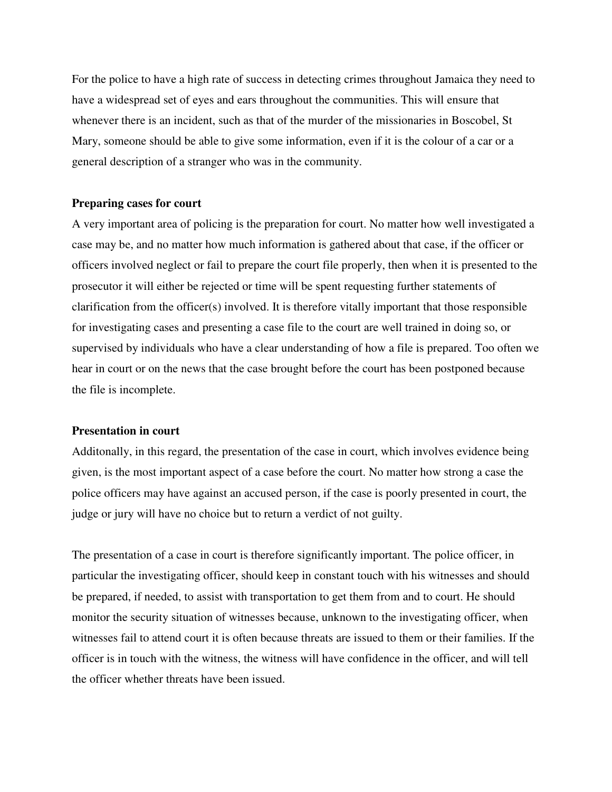For the police to have a high rate of success in detecting crimes throughout Jamaica they need to have a widespread set of eyes and ears throughout the communities. This will ensure that whenever there is an incident, such as that of the murder of the missionaries in Boscobel, St Mary, someone should be able to give some information, even if it is the colour of a car or a general description of a stranger who was in the community.

#### **Preparing cases for court**

A very important area of policing is the preparation for court. No matter how well investigated a case may be, and no matter how much information is gathered about that case, if the officer or officers involved neglect or fail to prepare the court file properly, then when it is presented to the prosecutor it will either be rejected or time will be spent requesting further statements of clarification from the officer(s) involved. It is therefore vitally important that those responsible for investigating cases and presenting a case file to the court are well trained in doing so, or supervised by individuals who have a clear understanding of how a file is prepared. Too often we hear in court or on the news that the case brought before the court has been postponed because the file is incomplete.

#### **Presentation in court**

Additonally, in this regard, the presentation of the case in court, which involves evidence being given, is the most important aspect of a case before the court. No matter how strong a case the police officers may have against an accused person, if the case is poorly presented in court, the judge or jury will have no choice but to return a verdict of not guilty.

The presentation of a case in court is therefore significantly important. The police officer, in particular the investigating officer, should keep in constant touch with his witnesses and should be prepared, if needed, to assist with transportation to get them from and to court. He should monitor the security situation of witnesses because, unknown to the investigating officer, when witnesses fail to attend court it is often because threats are issued to them or their families. If the officer is in touch with the witness, the witness will have confidence in the officer, and will tell the officer whether threats have been issued.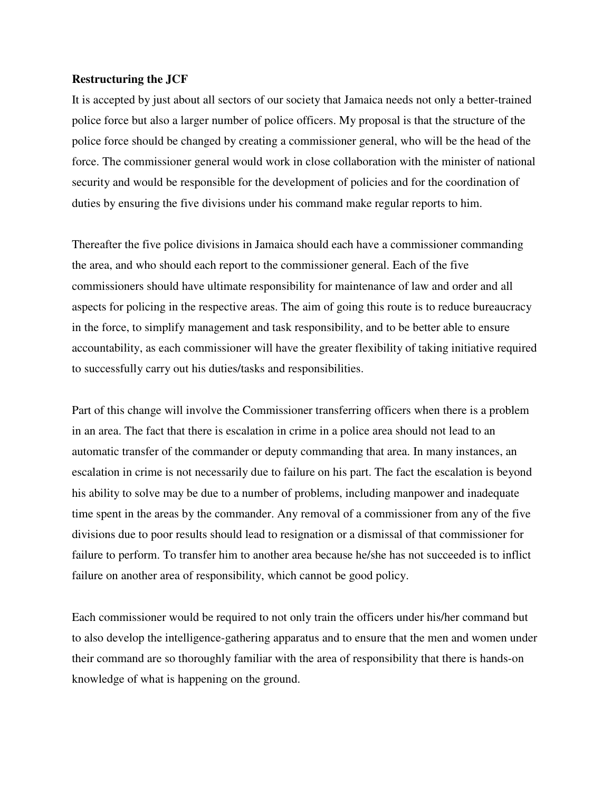#### **Restructuring the JCF**

It is accepted by just about all sectors of our society that Jamaica needs not only a better-trained police force but also a larger number of police officers. My proposal is that the structure of the police force should be changed by creating a commissioner general, who will be the head of the force. The commissioner general would work in close collaboration with the minister of national security and would be responsible for the development of policies and for the coordination of duties by ensuring the five divisions under his command make regular reports to him.

Thereafter the five police divisions in Jamaica should each have a commissioner commanding the area, and who should each report to the commissioner general. Each of the five commissioners should have ultimate responsibility for maintenance of law and order and all aspects for policing in the respective areas. The aim of going this route is to reduce bureaucracy in the force, to simplify management and task responsibility, and to be better able to ensure accountability, as each commissioner will have the greater flexibility of taking initiative required to successfully carry out his duties/tasks and responsibilities.

Part of this change will involve the Commissioner transferring officers when there is a problem in an area. The fact that there is escalation in crime in a police area should not lead to an automatic transfer of the commander or deputy commanding that area. In many instances, an escalation in crime is not necessarily due to failure on his part. The fact the escalation is beyond his ability to solve may be due to a number of problems, including manpower and inadequate time spent in the areas by the commander. Any removal of a commissioner from any of the five divisions due to poor results should lead to resignation or a dismissal of that commissioner for failure to perform. To transfer him to another area because he/she has not succeeded is to inflict failure on another area of responsibility, which cannot be good policy.

Each commissioner would be required to not only train the officers under his/her command but to also develop the intelligence-gathering apparatus and to ensure that the men and women under their command are so thoroughly familiar with the area of responsibility that there is hands-on knowledge of what is happening on the ground.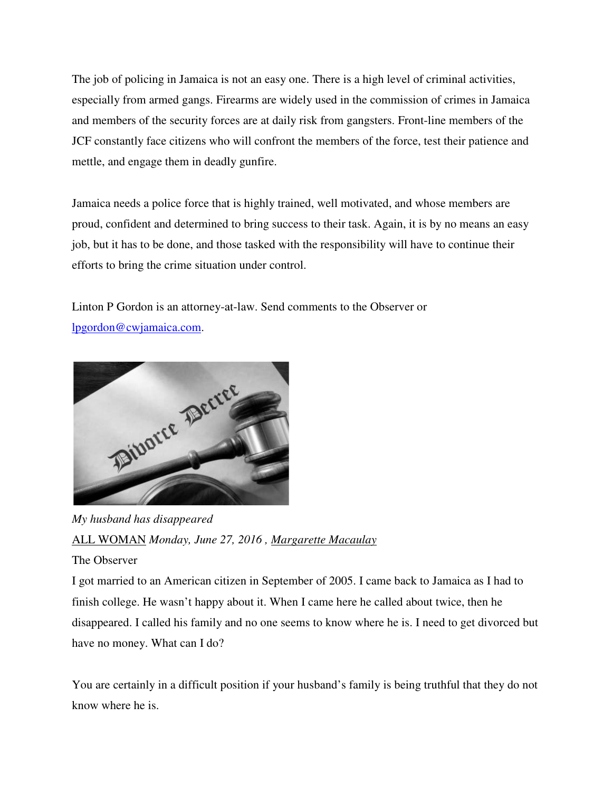The job of policing in Jamaica is not an easy one. There is a high level of criminal activities, The job of policing in Jamaica is not an easy one. There is a high level of criminal activities,<br>especially from armed gangs. Firearms are widely used in the commission of crimes in Jamaica and members of the security forces are at daily risk from gangsters. Front-line members of the JCF constantly face citizens who will confront the members of the force, test their patience and mettle, and engage them in deadly gunfire. JCF constantly face citizens who will confront the members of the force, test their patience a<br>mettle, and engage them in deadly gunfire.<br>Jamaica needs a police force that is highly trained, well motivated, and whose membe

proud, confident and determined to bring success to their task. Again, it is by no means an easy proud, confident and determined to bring success to their task. Again, it is by no means an ea<br>job, but it has to be done, and those tasked with the responsibility will have to continue their efforts to bring the crime situation under control. rearms are widely used in the commission of crimes in Jamaic<br>ces are at daily risk from gangsters. Front-line members of the<br>o will confront the members of the force, test their patience an<br>ly gunfire.<br>It is highly trained

efforts to bring the crime situation under control.<br>Linton P Gordon is an attorney-at-law. Send comments to the Observer or lpgordon@cwjamaica.com.



*My husband has disappeared*  ALL WOMAN *Monday, June 27, 2016 , Margarette Macaulay*

### The Observer

I got married to an American citizen in September of 2005. I came back to Jamaica as I had to finish college. He wasn't happy about it. When I came here he called about twice, then he finish college. He wasn't happy about it. When I came here he called about twice, then he disappeared. I called his family and no one seems to know where he is. I need to get divorced but have no money. What can I do?

You are certainly in a difficult position if your husband's family is being truthful that they do not know where he is.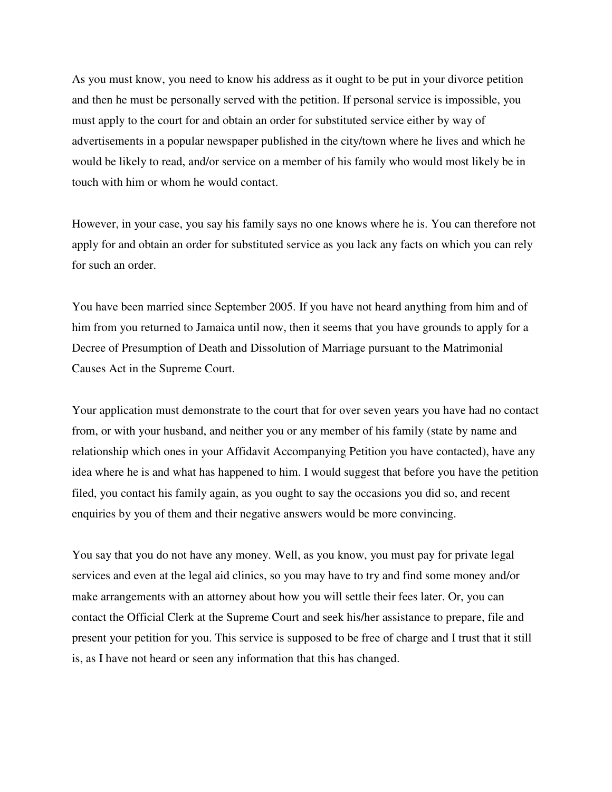As you must know, you need to know his address as it ought to be put in your divorce petition and then he must be personally served with the petition. If personal service is impossible, you must apply to the court for and obtain an order for substituted service either by way of advertisements in a popular newspaper published in the city/town where he lives and which he would be likely to read, and/or service on a member of his family who would most likely be in touch with him or whom he would contact.

However, in your case, you say his family says no one knows where he is. You can therefore not apply for and obtain an order for substituted service as you lack any facts on which you can rely for such an order.

You have been married since September 2005. If you have not heard anything from him and of him from you returned to Jamaica until now, then it seems that you have grounds to apply for a Decree of Presumption of Death and Dissolution of Marriage pursuant to the Matrimonial Causes Act in the Supreme Court.

Your application must demonstrate to the court that for over seven years you have had no contact from, or with your husband, and neither you or any member of his family (state by name and relationship which ones in your Affidavit Accompanying Petition you have contacted), have any idea where he is and what has happened to him. I would suggest that before you have the petition filed, you contact his family again, as you ought to say the occasions you did so, and recent enquiries by you of them and their negative answers would be more convincing.

You say that you do not have any money. Well, as you know, you must pay for private legal services and even at the legal aid clinics, so you may have to try and find some money and/or make arrangements with an attorney about how you will settle their fees later. Or, you can contact the Official Clerk at the Supreme Court and seek his/her assistance to prepare, file and present your petition for you. This service is supposed to be free of charge and I trust that it still is, as I have not heard or seen any information that this has changed.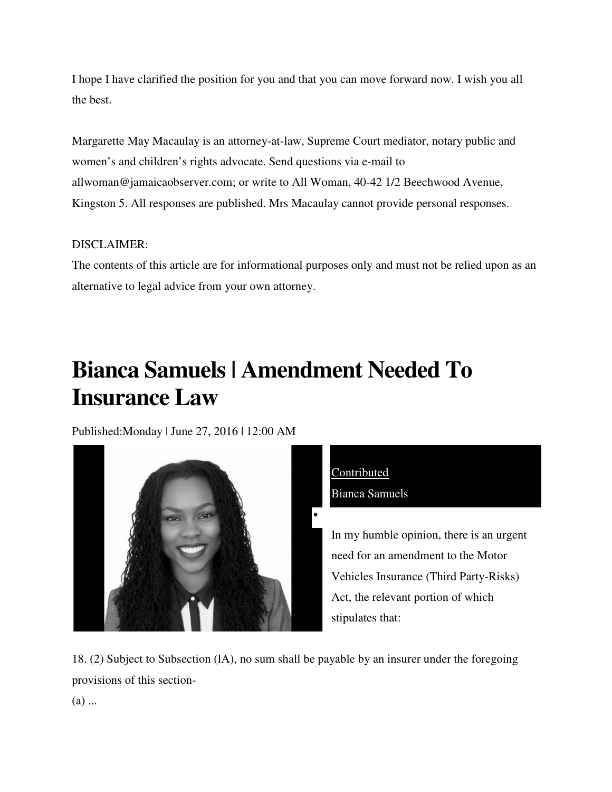I hope I have clarified the position for you and that you can move forward now. I wish you all<br>the best.<br>Margarette May Macaulay is an attorney-at-law, Supreme Court mediator, notary public and the best.

Margarette May Macaulay is an attorney-at-law, Supreme Court mediator, notary public and women's and children's rights advocate. Send questions via e-mail to allwoman@jamaicaobserver.com; or write to All Woman, 40 40-42 1/2 Beechwood Avenue, Kingston 5. All responses are published. Mrs Macaulay cannot provide personal responses.

### DISCLAIMER:

The contents of this article are for informational purposes only and must not be relied upon as an alternative to legal advice from your own attorney. alternative to legal advice from your own attorney.

## Bianca Samuels | Amendment Needed To **Insurance Law**

Published: Monday | June 27, 2016 | 12:00 AM





In my humble opinion, there is an urgent need for an amendment to the Motor an amendment to the Motor Vehicles Insurance (Third Party-Risks) Act, the relevant portion of which stipulates that:

18. (2) Subject to Subsection (IA), no sum shall be payable by an insurer under the foregoing provisions of this section-

(a) ...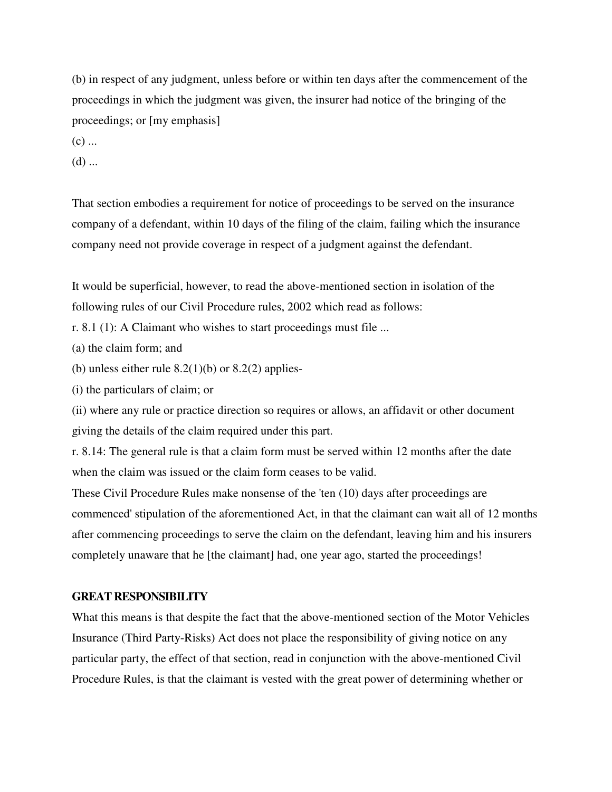(b) in respect of any judgment, unless before or within ten days after the commencement of the proceedings in which the judgment was given, the insurer had notice of the bringing of the proceedings; or [my emphasis]

 $(c)$  ...

 $(d)$  ...

That section embodies a requirement for notice of proceedings to be served on the insurance company of a defendant, within 10 days of the filing of the claim, failing which the insurance company need not provide coverage in respect of a judgment against the defendant.

It would be superficial, however, to read the above-mentioned section in isolation of the following rules of our Civil Procedure rules, 2002 which read as follows:

r. 8.1 (1): A Claimant who wishes to start proceedings must file ...

(a) the claim form; and

(b) unless either rule  $8.2(1)(b)$  or  $8.2(2)$  applies-

(i) the particulars of claim; or

(ii) where any rule or practice direction so requires or allows, an affidavit or other document giving the details of the claim required under this part.

r. 8.14: The general rule is that a claim form must be served within 12 months after the date when the claim was issued or the claim form ceases to be valid.

These Civil Procedure Rules make nonsense of the 'ten (10) days after proceedings are commenced' stipulation of the aforementioned Act, in that the claimant can wait all of 12 months after commencing proceedings to serve the claim on the defendant, leaving him and his insurers completely unaware that he [the claimant] had, one year ago, started the proceedings!

#### **GREAT RESPONSIBILITY**

What this means is that despite the fact that the above-mentioned section of the Motor Vehicles Insurance (Third Party-Risks) Act does not place the responsibility of giving notice on any particular party, the effect of that section, read in conjunction with the above-mentioned Civil Procedure Rules, is that the claimant is vested with the great power of determining whether or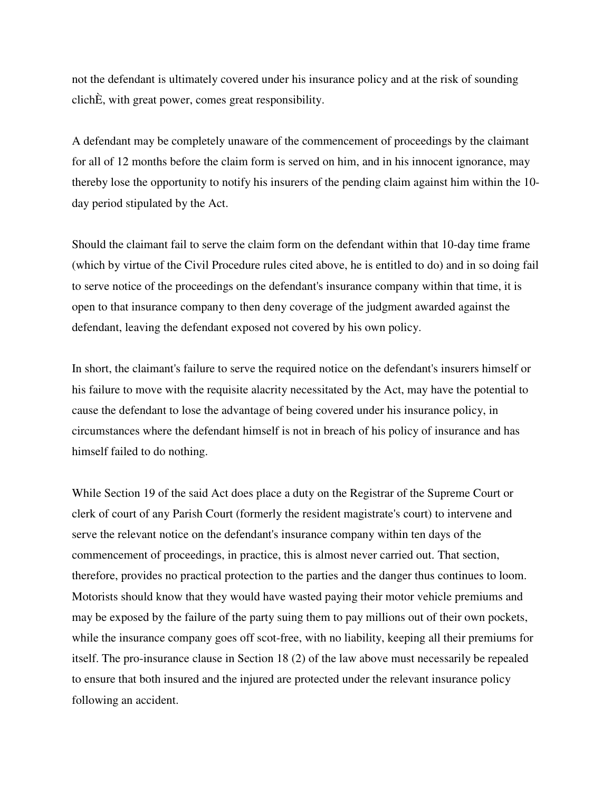not the defendant is ultimately covered under his insurance policy and at the risk of sounding clichÈ, with great power, comes great responsibility.

A defendant may be completely unaware of the commencement of proceedings by the claimant for all of 12 months before the claim form is served on him, and in his innocent ignorance, may thereby lose the opportunity to notify his insurers of the pending claim against him within the 10 day period stipulated by the Act.

Should the claimant fail to serve the claim form on the defendant within that 10-day time frame (which by virtue of the Civil Procedure rules cited above, he is entitled to do) and in so doing fail to serve notice of the proceedings on the defendant's insurance company within that time, it is open to that insurance company to then deny coverage of the judgment awarded against the defendant, leaving the defendant exposed not covered by his own policy.

In short, the claimant's failure to serve the required notice on the defendant's insurers himself or his failure to move with the requisite alacrity necessitated by the Act, may have the potential to cause the defendant to lose the advantage of being covered under his insurance policy, in circumstances where the defendant himself is not in breach of his policy of insurance and has himself failed to do nothing.

While Section 19 of the said Act does place a duty on the Registrar of the Supreme Court or clerk of court of any Parish Court (formerly the resident magistrate's court) to intervene and serve the relevant notice on the defendant's insurance company within ten days of the commencement of proceedings, in practice, this is almost never carried out. That section, therefore, provides no practical protection to the parties and the danger thus continues to loom. Motorists should know that they would have wasted paying their motor vehicle premiums and may be exposed by the failure of the party suing them to pay millions out of their own pockets, while the insurance company goes off scot-free, with no liability, keeping all their premiums for itself. The pro-insurance clause in Section 18 (2) of the law above must necessarily be repealed to ensure that both insured and the injured are protected under the relevant insurance policy following an accident.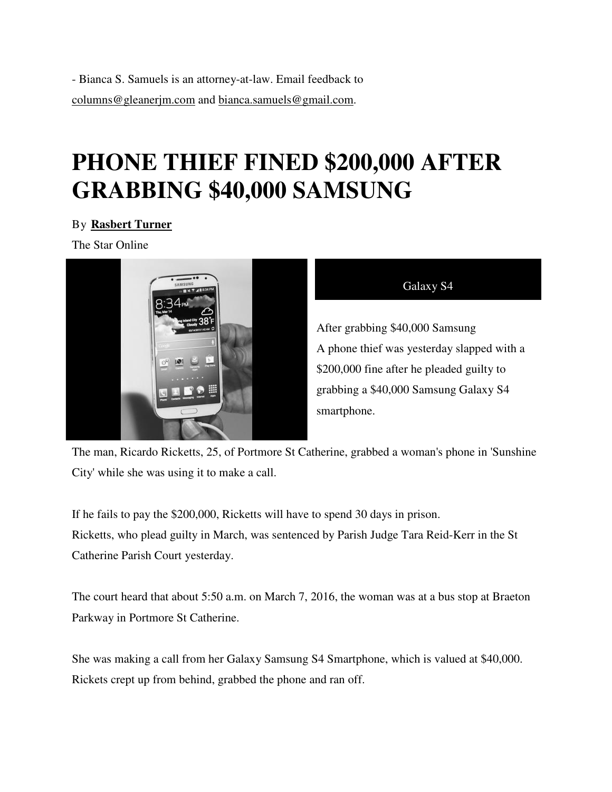- Bianca S. Samuels is an attorney-at-law. Email feedback to columns@gleanerjm.com and bianca.samuels@gmail.com bianca.samuels@gmail.com.

## **PHONE THIEF FINED \$200,000 AFTER GRABBING \$40,000 SAMSUNG**

### By **Rasbert Turner**

The Star Online



| <b>Jalax</b> |  |
|--------------|--|
|              |  |
|              |  |

After grabbing \$40,000 Samsung A phone thief was yesterday slapped with a \$200,000 fine after he pleaded guilty to grabbing a \$40,000 Samsung Galaxy S4 smartphone. After grabbing \$40,000 Samsung<br>A phone thief was yesterday slapped<br>\$200,000 fine after he pleaded guilty<br>grabbing a \$40,000 Samsung Galaxy<br>smartphone.<br>F Portmore St Catherine, grabbed a woman's phone in 'S<br>ke a call.<br>icket

The man, Ricardo Ricketts, 25, of Portmore St Catherine, grabbed a woman's phone in 'Sunshine City' while she was using it to make a call.

If he fails to pay the \$200,000, Ricketts will have to spend 30 days in prison. City' while she was using it to make a call.<br>If he fails to pay the \$200,000, Ricketts will have to spend 30 days in prison.<br>Ricketts, who plead guilty in March, was sentenced by Parish Judge Tara Reid-Kerr in the St Catherine Parish Court yesterday.

The court heard that about 5:50 a.m. on March 7, 2016, the woman was at a bus stop at Braeton Parkway in Portmore St Catherine. The court heard that about 5:50 a.m. on March 7, 2016, the woman was at a bus stop at Braetc<br>Parkway in Portmore St Catherine.<br>She was making a call from her Galaxy Samsung S4 Smartphone, which is valued at \$40,000.

Rickets crept up from behind, grabbed the phone and ran off.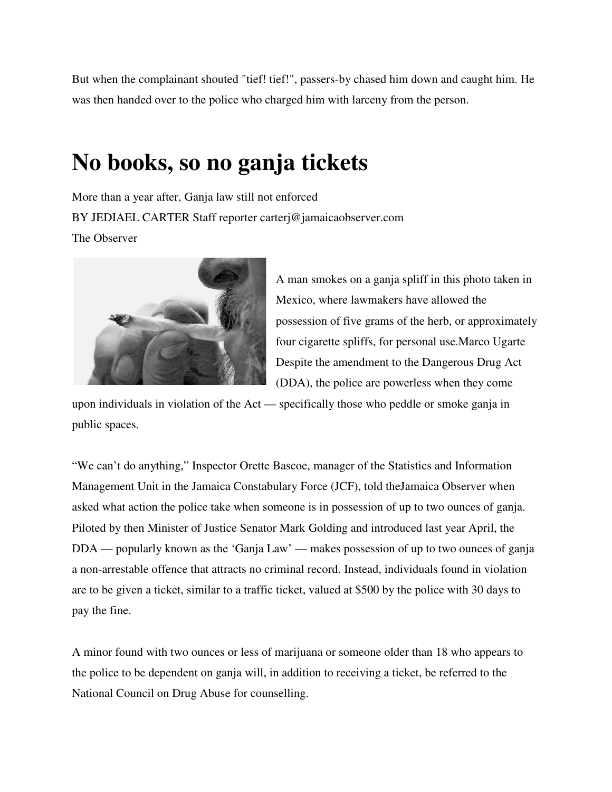But when the complainant shouted "tief! tief!", passers-by chased him down and caught him. He was then handed over to the police who charged him with larceny from the person.

### **No books, so no ganja tickets books, so ganja tickets**

More than a year after, Ganja law still not enforced BY JEDIAEL CARTER Staff reporter carterj@jamaicaobserver.com The Observer year after, Ganja law still not enforced<br>
L CARTER Staff reporter carterj@jamaicaobserver.com<br>
r<br>
A man smokes on a ganja spliff in this photo taken in



Mexico, where lawmakers have allowed the possession of five grams of the herb, or approximately four cigarette spliffs, for personal use.Marco Ugarte Despite the amendment to the Dangerous Drug Act (DDA), the police are powerless when they come specifically those who peddle or smoke ganja in

upon individuals in violation of the Act — specifically those who peddle or smoke ganja i public spaces.

"We can't do anything," Inspector Orette Bascoe, manager of the Statistics and Information Management Unit in the Jamaica Constabulary Force (JCF), told theJamaica Observer when asked what action the police take when someone is in possession of up to two ounces of ganja. Piloted by then Minister of Justice Senator Mark Golding and introduced last year April, the Piloted by then Minister of Justice Senator Mark Golding and introduced last year April, the<br>DDA — popularly known as the 'Ganja Law' — makes possession of up to two ounces of ganja a non-arrestable offence that attracts no criminal record. Instead, individuals found in violation are to be given a ticket, similar to a traffic ticket, valued at \$500 by the police with 30 days to pay the fine. by chased him down and caught him. He<br>th larceny from the person.<br>**CES**<br>observer.com<br>as on a ganja spliff in this photo taken in<br>re lawmakers have allowed the<br>five grams of the herb, or approximately<br>spliffs, for personal someone is in possession of up to two ounces of ganja.<br>tor Mark Golding and introduced last year April, the<br>Law' — makes possession of up to two ounces of gan<br>criminal record. Instead, individuals found in violation<br>ic tic

A minor found with two ounces or less of marijuana or someone older than 18 who appe the police to be dependent on ganja will, in addition to receiving a ticket, be referred to the National Council on Drug Abuse for counselling.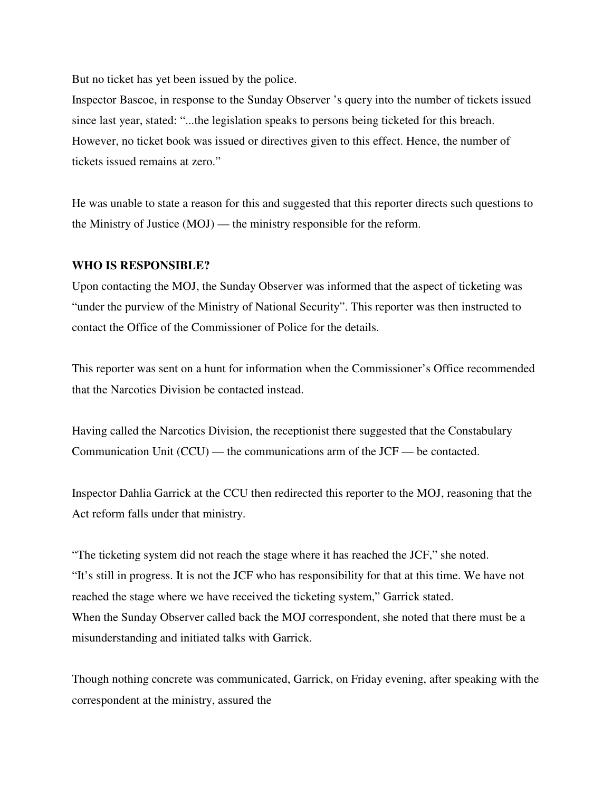But no ticket has yet been issued by the police.

Inspector Bascoe, in response to the Sunday Observer 's query into the number of tickets issued since last year, stated: "...the legislation speaks to persons being ticketed for this breach. However, no ticket book was issued or directives given to this effect. Hence, the number of tickets issued remains at zero."

He was unable to state a reason for this and suggested that this reporter directs such questions to the Ministry of Justice (MOJ) — the ministry responsible for the reform.

#### **WHO IS RESPONSIBLE?**

Upon contacting the MOJ, the Sunday Observer was informed that the aspect of ticketing was "under the purview of the Ministry of National Security". This reporter was then instructed to contact the Office of the Commissioner of Police for the details.

This reporter was sent on a hunt for information when the Commissioner's Office recommended that the Narcotics Division be contacted instead.

Having called the Narcotics Division, the receptionist there suggested that the Constabulary Communication Unit (CCU) — the communications arm of the JCF — be contacted.

Inspector Dahlia Garrick at the CCU then redirected this reporter to the MOJ, reasoning that the Act reform falls under that ministry.

"The ticketing system did not reach the stage where it has reached the JCF," she noted. "It's still in progress. It is not the JCF who has responsibility for that at this time. We have not reached the stage where we have received the ticketing system," Garrick stated. When the Sunday Observer called back the MOJ correspondent, she noted that there must be a misunderstanding and initiated talks with Garrick.

Though nothing concrete was communicated, Garrick, on Friday evening, after speaking with the correspondent at the ministry, assured the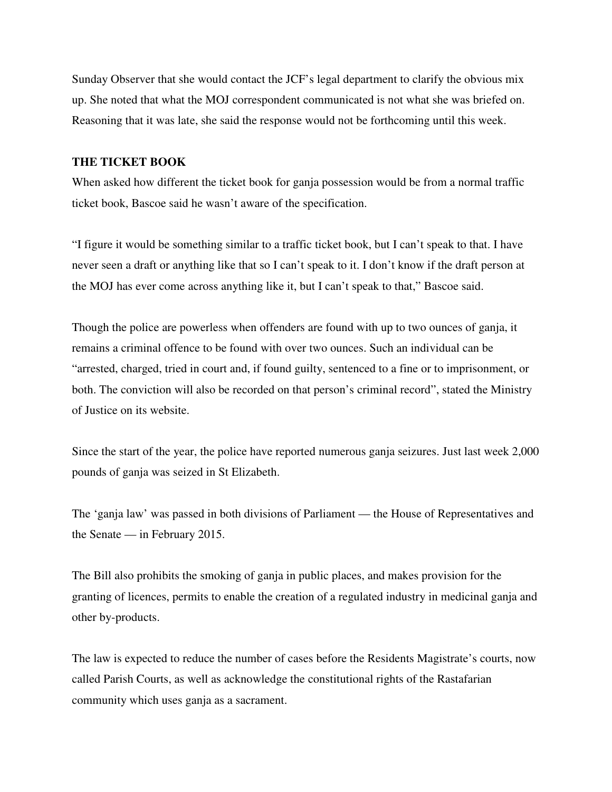Sunday Observer that she would contact the JCF's legal department to clarify the obvious mix up. She noted that what the MOJ correspondent communicated is not what she was briefed on. Reasoning that it was late, she said the response would not be forthcoming until this week.

#### **THE TICKET BOOK**

When asked how different the ticket book for ganja possession would be from a normal traffic ticket book, Bascoe said he wasn't aware of the specification.

"I figure it would be something similar to a traffic ticket book, but I can't speak to that. I have never seen a draft or anything like that so I can't speak to it. I don't know if the draft person at the MOJ has ever come across anything like it, but I can't speak to that," Bascoe said.

Though the police are powerless when offenders are found with up to two ounces of ganja, it remains a criminal offence to be found with over two ounces. Such an individual can be "arrested, charged, tried in court and, if found guilty, sentenced to a fine or to imprisonment, or both. The conviction will also be recorded on that person's criminal record", stated the Ministry of Justice on its website.

Since the start of the year, the police have reported numerous ganja seizures. Just last week 2,000 pounds of ganja was seized in St Elizabeth.

The 'ganja law' was passed in both divisions of Parliament — the House of Representatives and the Senate — in February 2015.

The Bill also prohibits the smoking of ganja in public places, and makes provision for the granting of licences, permits to enable the creation of a regulated industry in medicinal ganja and other by-products.

The law is expected to reduce the number of cases before the Residents Magistrate's courts, now called Parish Courts, as well as acknowledge the constitutional rights of the Rastafarian community which uses ganja as a sacrament.